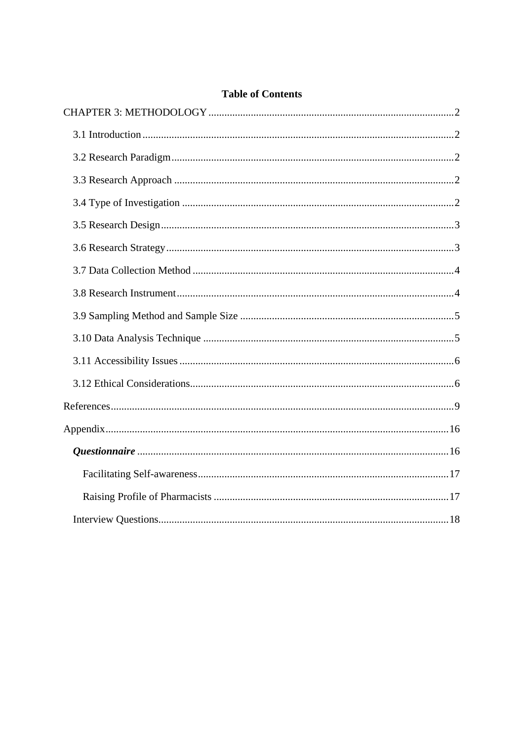# **Table of Contents**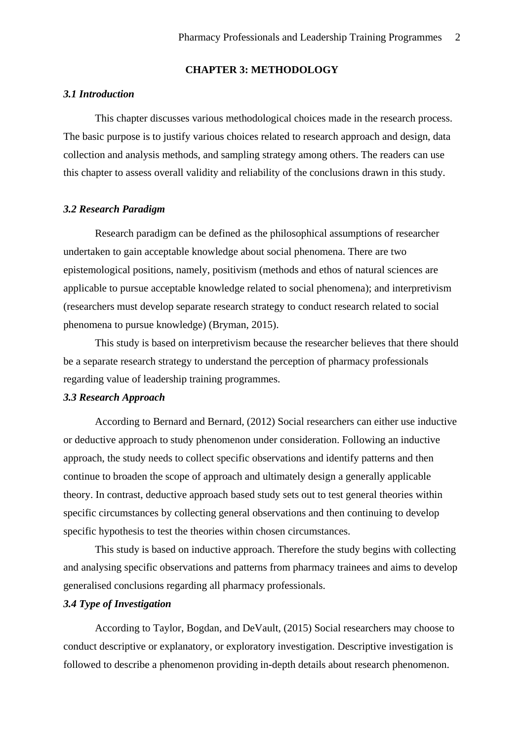### **CHAPTER 3: METHODOLOGY**

#### <span id="page-1-1"></span><span id="page-1-0"></span>*3.1 Introduction*

This chapter discusses various methodological choices made in the research process. The basic purpose is to justify various choices related to research approach and design, data collection and analysis methods, and sampling strategy among others. The readers can use this chapter to assess overall validity and reliability of the conclusions drawn in this study.

#### <span id="page-1-2"></span>*3.2 Research Paradigm*

Research paradigm can be defined as the philosophical assumptions of researcher undertaken to gain acceptable knowledge about social phenomena. There are two epistemological positions, namely, positivism (methods and ethos of natural sciences are applicable to pursue acceptable knowledge related to social phenomena); and interpretivism (researchers must develop separate research strategy to conduct research related to social phenomena to pursue knowledge) (Bryman, 2015).

This study is based on interpretivism because the researcher believes that there should be a separate research strategy to understand the perception of pharmacy professionals regarding value of leadership training programmes.

#### <span id="page-1-3"></span>*3.3 Research Approach*

According to Bernard and Bernard, (2012) Social researchers can either use inductive or deductive approach to study phenomenon under consideration. Following an inductive approach, the study needs to collect specific observations and identify patterns and then continue to broaden the scope of approach and ultimately design a generally applicable theory. In contrast, deductive approach based study sets out to test general theories within specific circumstances by collecting general observations and then continuing to develop specific hypothesis to test the theories within chosen circumstances.

This study is based on inductive approach. Therefore the study begins with collecting and analysing specific observations and patterns from pharmacy trainees and aims to develop generalised conclusions regarding all pharmacy professionals.

# <span id="page-1-4"></span>*3.4 Type of Investigation*

 According to Taylor, Bogdan, and DeVault, (2015) Social researchers may choose to conduct descriptive or explanatory, or exploratory investigation. Descriptive investigation is followed to describe a phenomenon providing in-depth details about research phenomenon.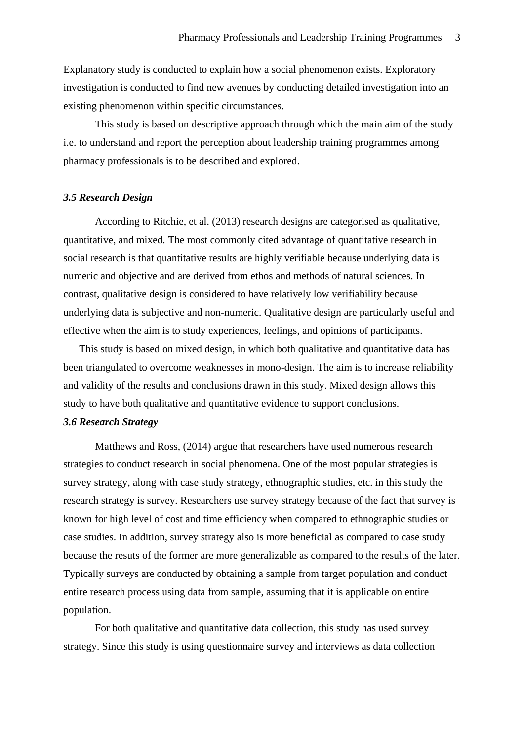Explanatory study is conducted to explain how a social phenomenon exists. Exploratory investigation is conducted to find new avenues by conducting detailed investigation into an existing phenomenon within specific circumstances.

This study is based on descriptive approach through which the main aim of the study i.e. to understand and report the perception about leadership training programmes among pharmacy professionals is to be described and explored.

#### <span id="page-2-0"></span>*3.5 Research Design*

According to Ritchie, et al. (2013) research designs are categorised as qualitative, quantitative, and mixed. The most commonly cited advantage of quantitative research in social research is that quantitative results are highly verifiable because underlying data is numeric and objective and are derived from ethos and methods of natural sciences. In contrast, qualitative design is considered to have relatively low verifiability because underlying data is subjective and non-numeric. Qualitative design are particularly useful and effective when the aim is to study experiences, feelings, and opinions of participants.

This study is based on mixed design, in which both qualitative and quantitative data has been triangulated to overcome weaknesses in mono-design. The aim is to increase reliability and validity of the results and conclusions drawn in this study. Mixed design allows this study to have both qualitative and quantitative evidence to support conclusions.

#### <span id="page-2-1"></span>*3.6 Research Strategy*

Matthews and Ross, (2014) argue that researchers have used numerous research strategies to conduct research in social phenomena. One of the most popular strategies is survey strategy, along with case study strategy, ethnographic studies, etc. in this study the research strategy is survey. Researchers use survey strategy because of the fact that survey is known for high level of cost and time efficiency when compared to ethnographic studies or case studies. In addition, survey strategy also is more beneficial as compared to case study because the resuts of the former are more generalizable as compared to the results of the later. Typically surveys are conducted by obtaining a sample from target population and conduct entire research process using data from sample, assuming that it is applicable on entire population.

For both qualitative and quantitative data collection, this study has used survey strategy. Since this study is using questionnaire survey and interviews as data collection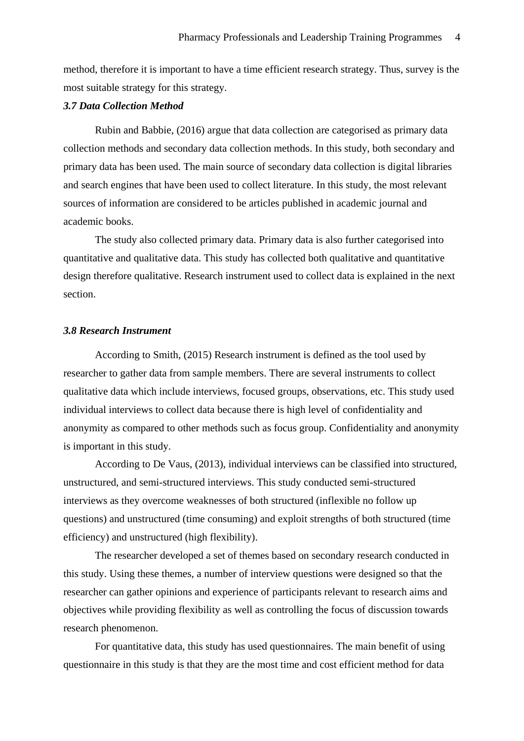method, therefore it is important to have a time efficient research strategy. Thus, survey is the most suitable strategy for this strategy.

#### <span id="page-3-0"></span>*3.7 Data Collection Method*

 Rubin and Babbie, (2016) argue that data collection are categorised as primary data collection methods and secondary data collection methods. In this study, both secondary and primary data has been used. The main source of secondary data collection is digital libraries and search engines that have been used to collect literature. In this study, the most relevant sources of information are considered to be articles published in academic journal and academic books.

The study also collected primary data. Primary data is also further categorised into quantitative and qualitative data. This study has collected both qualitative and quantitative design therefore qualitative. Research instrument used to collect data is explained in the next section.

#### <span id="page-3-1"></span>*3.8 Research Instrument*

According to Smith, (2015) Research instrument is defined as the tool used by researcher to gather data from sample members. There are several instruments to collect qualitative data which include interviews, focused groups, observations, etc. This study used individual interviews to collect data because there is high level of confidentiality and anonymity as compared to other methods such as focus group. Confidentiality and anonymity is important in this study.

According to De Vaus, (2013), individual interviews can be classified into structured, unstructured, and semi-structured interviews. This study conducted semi-structured interviews as they overcome weaknesses of both structured (inflexible no follow up questions) and unstructured (time consuming) and exploit strengths of both structured (time efficiency) and unstructured (high flexibility).

The researcher developed a set of themes based on secondary research conducted in this study. Using these themes, a number of interview questions were designed so that the researcher can gather opinions and experience of participants relevant to research aims and objectives while providing flexibility as well as controlling the focus of discussion towards research phenomenon.

 For quantitative data, this study has used questionnaires. The main benefit of using questionnaire in this study is that they are the most time and cost efficient method for data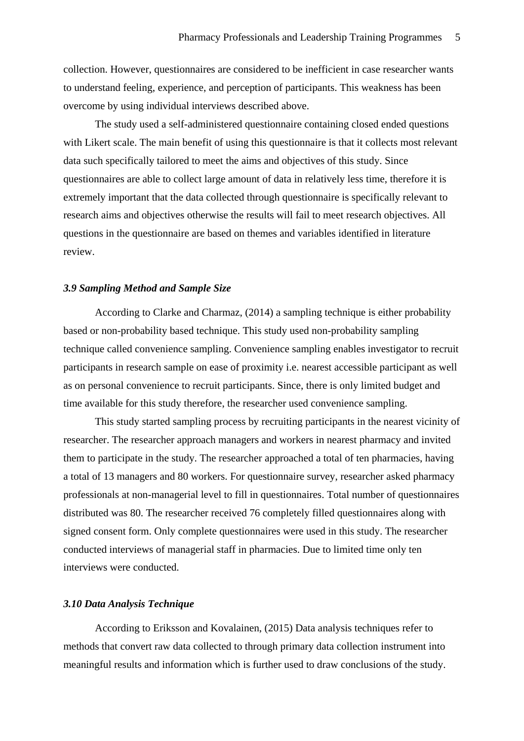collection. However, questionnaires are considered to be inefficient in case researcher wants to understand feeling, experience, and perception of participants. This weakness has been overcome by using individual interviews described above.

 The study used a self-administered questionnaire containing closed ended questions with Likert scale. The main benefit of using this questionnaire is that it collects most relevant data such specifically tailored to meet the aims and objectives of this study. Since questionnaires are able to collect large amount of data in relatively less time, therefore it is extremely important that the data collected through questionnaire is specifically relevant to research aims and objectives otherwise the results will fail to meet research objectives. All questions in the questionnaire are based on themes and variables identified in literature review.

# <span id="page-4-0"></span>*3.9 Sampling Method and Sample Size*

According to Clarke and Charmaz, (2014) a sampling technique is either probability based or non-probability based technique. This study used non-probability sampling technique called convenience sampling. Convenience sampling enables investigator to recruit participants in research sample on ease of proximity i.e. nearest accessible participant as well as on personal convenience to recruit participants. Since, there is only limited budget and time available for this study therefore, the researcher used convenience sampling.

This study started sampling process by recruiting participants in the nearest vicinity of researcher. The researcher approach managers and workers in nearest pharmacy and invited them to participate in the study. The researcher approached a total of ten pharmacies, having a total of 13 managers and 80 workers. For questionnaire survey, researcher asked pharmacy professionals at non-managerial level to fill in questionnaires. Total number of questionnaires distributed was 80. The researcher received 76 completely filled questionnaires along with signed consent form. Only complete questionnaires were used in this study. The researcher conducted interviews of managerial staff in pharmacies. Due to limited time only ten interviews were conducted.

### <span id="page-4-1"></span>*3.10 Data Analysis Technique*

According to Eriksson and Kovalainen, (2015) Data analysis techniques refer to methods that convert raw data collected to through primary data collection instrument into meaningful results and information which is further used to draw conclusions of the study.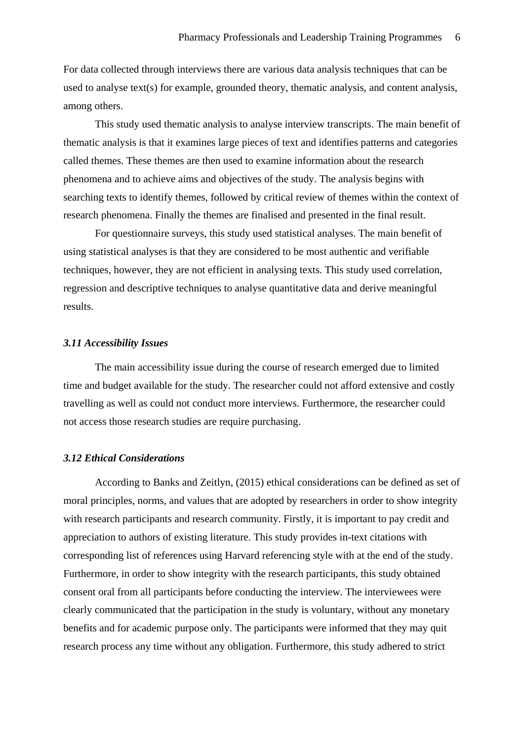For data collected through interviews there are various data analysis techniques that can be used to analyse text(s) for example, grounded theory, thematic analysis, and content analysis, among others.

This study used thematic analysis to analyse interview transcripts. The main benefit of thematic analysis is that it examines large pieces of text and identifies patterns and categories called themes. These themes are then used to examine information about the research phenomena and to achieve aims and objectives of the study. The analysis begins with searching texts to identify themes, followed by critical review of themes within the context of research phenomena. Finally the themes are finalised and presented in the final result.

For questionnaire surveys, this study used statistical analyses. The main benefit of using statistical analyses is that they are considered to be most authentic and verifiable techniques, however, they are not efficient in analysing texts. This study used correlation, regression and descriptive techniques to analyse quantitative data and derive meaningful results.

#### <span id="page-5-0"></span>*3.11 Accessibility Issues*

The main accessibility issue during the course of research emerged due to limited time and budget available for the study. The researcher could not afford extensive and costly travelling as well as could not conduct more interviews. Furthermore, the researcher could not access those research studies are require purchasing.

# <span id="page-5-1"></span>*3.12 Ethical Considerations*

 According to Banks and Zeitlyn, (2015) ethical considerations can be defined as set of moral principles, norms, and values that are adopted by researchers in order to show integrity with research participants and research community. Firstly, it is important to pay credit and appreciation to authors of existing literature. This study provides in-text citations with corresponding list of references using Harvard referencing style with at the end of the study. Furthermore, in order to show integrity with the research participants, this study obtained consent oral from all participants before conducting the interview. The interviewees were clearly communicated that the participation in the study is voluntary, without any monetary benefits and for academic purpose only. The participants were informed that they may quit research process any time without any obligation. Furthermore, this study adhered to strict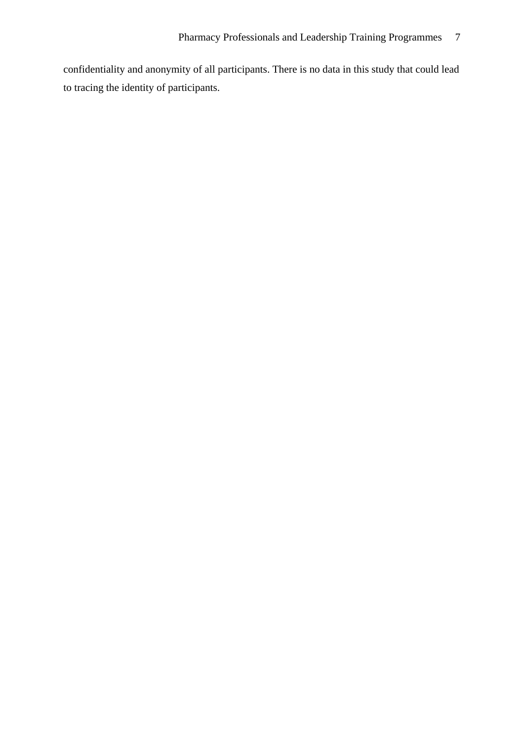confidentiality and anonymity of all participants. There is no data in this study that could lead to tracing the identity of participants.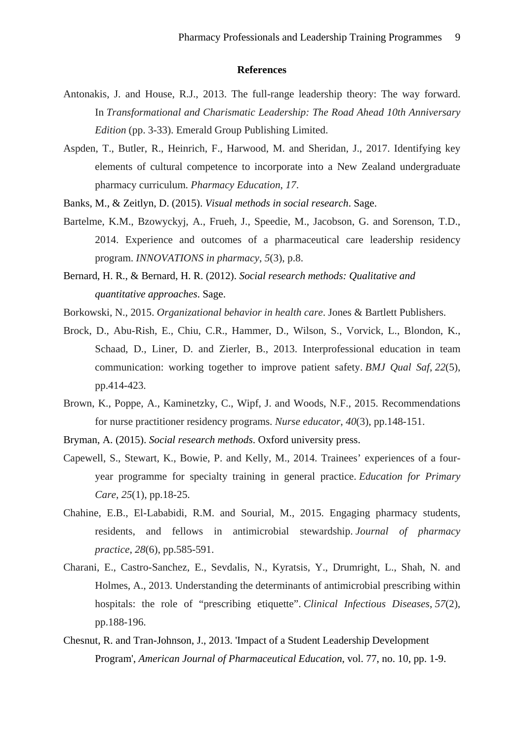#### **References**

- <span id="page-8-0"></span>Antonakis, J. and House, R.J., 2013. The full-range leadership theory: The way forward. In *Transformational and Charismatic Leadership: The Road Ahead 10th Anniversary Edition* (pp. 3-33). Emerald Group Publishing Limited.
- Aspden, T., Butler, R., Heinrich, F., Harwood, M. and Sheridan, J., 2017. Identifying key elements of cultural competence to incorporate into a New Zealand undergraduate pharmacy curriculum. *Pharmacy Education*, *17*.
- Banks, M., & Zeitlyn, D. (2015). *Visual methods in social research*. Sage.
- Bartelme, K.M., Bzowyckyj, A., Frueh, J., Speedie, M., Jacobson, G. and Sorenson, T.D., 2014. Experience and outcomes of a pharmaceutical care leadership residency program. *INNOVATIONS in pharmacy*, *5*(3), p.8.
- Bernard, H. R., & Bernard, H. R. (2012). *Social research methods: Qualitative and quantitative approaches*. Sage.
- Borkowski, N., 2015. *Organizational behavior in health care*. Jones & Bartlett Publishers.
- Brock, D., Abu-Rish, E., Chiu, C.R., Hammer, D., Wilson, S., Vorvick, L., Blondon, K., Schaad, D., Liner, D. and Zierler, B., 2013. Interprofessional education in team communication: working together to improve patient safety. *BMJ Qual Saf*, *22*(5), pp.414-423.
- Brown, K., Poppe, A., Kaminetzky, C., Wipf, J. and Woods, N.F., 2015. Recommendations for nurse practitioner residency programs. *Nurse educator*, *40*(3), pp.148-151.
- Bryman, A. (2015). *Social research methods*. Oxford university press.
- Capewell, S., Stewart, K., Bowie, P. and Kelly, M., 2014. Trainees' experiences of a fouryear programme for specialty training in general practice. *Education for Primary Care*, *25*(1), pp.18-25.
- Chahine, E.B., El-Lababidi, R.M. and Sourial, M., 2015. Engaging pharmacy students, residents, and fellows in antimicrobial stewardship. *Journal of pharmacy practice*, *28*(6), pp.585-591.
- Charani, E., Castro-Sanchez, E., Sevdalis, N., Kyratsis, Y., Drumright, L., Shah, N. and Holmes, A., 2013. Understanding the determinants of antimicrobial prescribing within hospitals: the role of "prescribing etiquette". *Clinical Infectious Diseases*, *57*(2), pp.188-196.
- Chesnut, R. and Tran-Johnson, J., 2013. 'Impact of a Student Leadership Development Program', *American Journal of Pharmaceutical Education*, vol. 77, no. 10, pp. 1-9.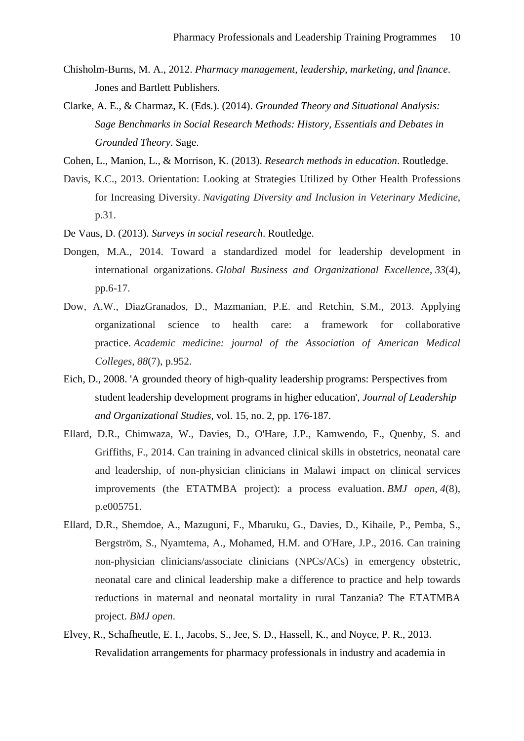- Chisholm-Burns, M. A., 2012. *Pharmacy management, leadership, marketing, and finance*. Jones and Bartlett Publishers.
- Clarke, A. E., & Charmaz, K. (Eds.). (2014). *Grounded Theory and Situational Analysis: Sage Benchmarks in Social Research Methods: History, Essentials and Debates in Grounded Theory*. Sage.
- Cohen, L., Manion, L., & Morrison, K. (2013). *Research methods in education*. Routledge.
- Davis, K.C., 2013. Orientation: Looking at Strategies Utilized by Other Health Professions for Increasing Diversity. *Navigating Diversity and Inclusion in Veterinary Medicine*, p.31.
- De Vaus, D. (2013). *Surveys in social research*. Routledge.
- Dongen, M.A., 2014. Toward a standardized model for leadership development in international organizations. *Global Business and Organizational Excellence*, *33*(4), pp.6-17.
- Dow, A.W., DiazGranados, D., Mazmanian, P.E. and Retchin, S.M., 2013. Applying organizational science to health care: a framework for collaborative practice. *Academic medicine: journal of the Association of American Medical Colleges*, *88*(7), p.952.
- Eich, D., 2008. 'A grounded theory of high-quality leadership programs: Perspectives from student leadership development programs in higher education', *Journal of Leadership and Organizational Studies*, vol. 15, no. 2, pp. 176-187.
- Ellard, D.R., Chimwaza, W., Davies, D., O'Hare, J.P., Kamwendo, F., Quenby, S. and Griffiths, F., 2014. Can training in advanced clinical skills in obstetrics, neonatal care and leadership, of non-physician clinicians in Malawi impact on clinical services improvements (the ETATMBA project): a process evaluation. *BMJ open*, *4*(8), p.e005751.
- Ellard, D.R., Shemdoe, A., Mazuguni, F., Mbaruku, G., Davies, D., Kihaile, P., Pemba, S., Bergström, S., Nyamtema, A., Mohamed, H.M. and O'Hare, J.P., 2016. Can training non-physician clinicians/associate clinicians (NPCs/ACs) in emergency obstetric, neonatal care and clinical leadership make a difference to practice and help towards reductions in maternal and neonatal mortality in rural Tanzania? The ETATMBA project. *BMJ open*.
- Elvey, R., Schafheutle, E. I., Jacobs, S., Jee, S. D., Hassell, K., and Noyce, P. R., 2013. Revalidation arrangements for pharmacy professionals in industry and academia in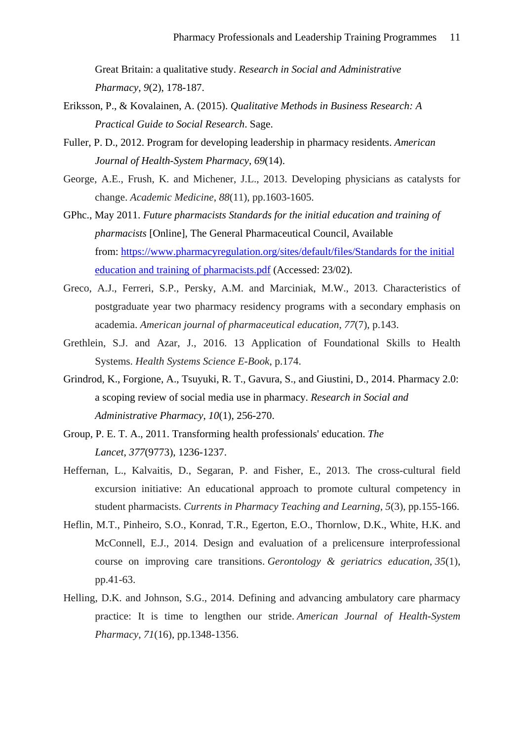Great Britain: a qualitative study. *Research in Social and Administrative Pharmacy*, *9*(2), 178-187.

- Eriksson, P., & Kovalainen, A. (2015). *Qualitative Methods in Business Research: A Practical Guide to Social Research*. Sage.
- Fuller, P. D., 2012. Program for developing leadership in pharmacy residents. *American Journal of Health-System Pharmacy*, *69*(14).
- George, A.E., Frush, K. and Michener, J.L., 2013. Developing physicians as catalysts for change. *Academic Medicine*, *88*(11), pp.1603-1605.
- GPhc., May 2011. *Future pharmacists Standards for the initial education and training of pharmacists* [Online], The General Pharmaceutical Council, Available from: [https://www.pharmacyregulation.org/sites/default/files/Standards for the initial](https://www.pharmacyregulation.org/sites/default/files/Standards%20for%20the%20initial%20education%20and%20training%20of%20pharmacists.pdf)  [education and training of pharmacists.pdf](https://www.pharmacyregulation.org/sites/default/files/Standards%20for%20the%20initial%20education%20and%20training%20of%20pharmacists.pdf) (Accessed: 23/02).
- Greco, A.J., Ferreri, S.P., Persky, A.M. and Marciniak, M.W., 2013. Characteristics of postgraduate year two pharmacy residency programs with a secondary emphasis on academia. *American journal of pharmaceutical education*, *77*(7), p.143.
- Grethlein, S.J. and Azar, J., 2016. 13 Application of Foundational Skills to Health Systems. *Health Systems Science E-Book*, p.174.
- Grindrod, K., Forgione, A., Tsuyuki, R. T., Gavura, S., and Giustini, D., 2014. Pharmacy 2.0: a scoping review of social media use in pharmacy. *Research in Social and Administrative Pharmacy*, *10*(1), 256-270.
- Group, P. E. T. A., 2011. Transforming health professionals' education. *The Lancet*, *377*(9773), 1236-1237.
- Heffernan, L., Kalvaitis, D., Segaran, P. and Fisher, E., 2013. The cross-cultural field excursion initiative: An educational approach to promote cultural competency in student pharmacists. *Currents in Pharmacy Teaching and Learning*, *5*(3), pp.155-166.
- Heflin, M.T., Pinheiro, S.O., Konrad, T.R., Egerton, E.O., Thornlow, D.K., White, H.K. and McConnell, E.J., 2014. Design and evaluation of a prelicensure interprofessional course on improving care transitions. *Gerontology & geriatrics education*, *35*(1), pp.41-63.
- Helling, D.K. and Johnson, S.G., 2014. Defining and advancing ambulatory care pharmacy practice: It is time to lengthen our stride. *American Journal of Health-System Pharmacy*, *71*(16), pp.1348-1356.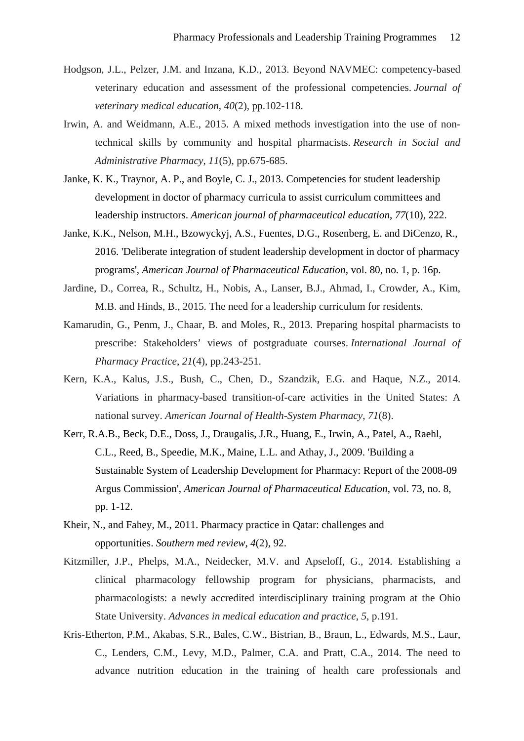- Hodgson, J.L., Pelzer, J.M. and Inzana, K.D., 2013. Beyond NAVMEC: competency-based veterinary education and assessment of the professional competencies. *Journal of veterinary medical education*, *40*(2), pp.102-118.
- Irwin, A. and Weidmann, A.E., 2015. A mixed methods investigation into the use of nontechnical skills by community and hospital pharmacists. *Research in Social and Administrative Pharmacy*, *11*(5), pp.675-685.
- Janke, K. K., Traynor, A. P., and Boyle, C. J., 2013. Competencies for student leadership development in doctor of pharmacy curricula to assist curriculum committees and leadership instructors. *American journal of pharmaceutical education*, *77*(10), 222.
- Janke, K.K., Nelson, M.H., Bzowyckyj, A.S., Fuentes, D.G., Rosenberg, E. and DiCenzo, R., 2016. 'Deliberate integration of student leadership development in doctor of pharmacy programs', *American Journal of Pharmaceutical Education*, vol. 80, no. 1, p. 16p.
- Jardine, D., Correa, R., Schultz, H., Nobis, A., Lanser, B.J., Ahmad, I., Crowder, A., Kim, M.B. and Hinds, B., 2015. The need for a leadership curriculum for residents.
- Kamarudin, G., Penm, J., Chaar, B. and Moles, R., 2013. Preparing hospital pharmacists to prescribe: Stakeholders' views of postgraduate courses. *International Journal of Pharmacy Practice*, *21*(4), pp.243-251.
- Kern, K.A., Kalus, J.S., Bush, C., Chen, D., Szandzik, E.G. and Haque, N.Z., 2014. Variations in pharmacy-based transition-of-care activities in the United States: A national survey. *American Journal of Health-System Pharmacy*, *71*(8).
- Kerr, R.A.B., Beck, D.E., Doss, J., Draugalis, J.R., Huang, E., Irwin, A., Patel, A., Raehl, C.L., Reed, B., Speedie, M.K., Maine, L.L. and Athay, J., 2009. 'Building a Sustainable System of Leadership Development for Pharmacy: Report of the 2008-09 Argus Commission', *American Journal of Pharmaceutical Education*, vol. 73, no. 8, pp. 1-12.
- Kheir, N., and Fahey, M., 2011. Pharmacy practice in Qatar: challenges and opportunities. *Southern med review*, *4*(2), 92.
- Kitzmiller, J.P., Phelps, M.A., Neidecker, M.V. and Apseloff, G., 2014. Establishing a clinical pharmacology fellowship program for physicians, pharmacists, and pharmacologists: a newly accredited interdisciplinary training program at the Ohio State University. *Advances in medical education and practice*, *5*, p.191.
- Kris-Etherton, P.M., Akabas, S.R., Bales, C.W., Bistrian, B., Braun, L., Edwards, M.S., Laur, C., Lenders, C.M., Levy, M.D., Palmer, C.A. and Pratt, C.A., 2014. The need to advance nutrition education in the training of health care professionals and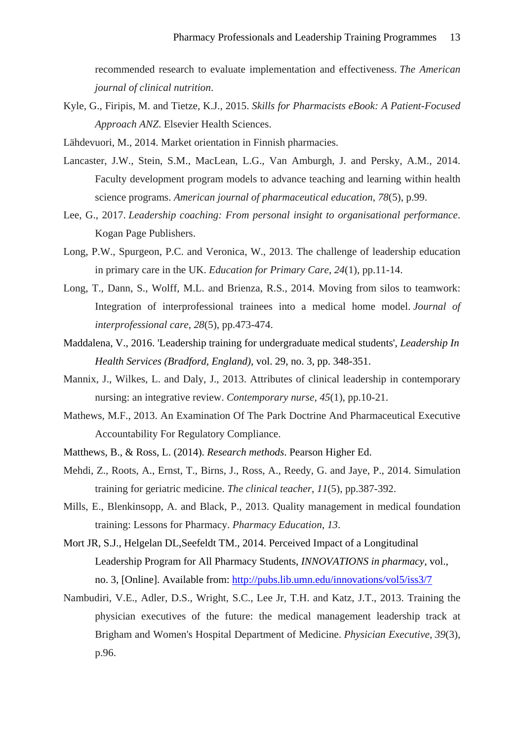recommended research to evaluate implementation and effectiveness. *The American journal of clinical nutrition*.

- Kyle, G., Firipis, M. and Tietze, K.J., 2015. *Skills for Pharmacists eBook: A Patient-Focused Approach ANZ*. Elsevier Health Sciences.
- Lähdevuori, M., 2014. Market orientation in Finnish pharmacies.
- Lancaster, J.W., Stein, S.M., MacLean, L.G., Van Amburgh, J. and Persky, A.M., 2014. Faculty development program models to advance teaching and learning within health science programs. *American journal of pharmaceutical education*, *78*(5), p.99.
- Lee, G., 2017. *Leadership coaching: From personal insight to organisational performance*. Kogan Page Publishers.
- Long, P.W., Spurgeon, P.C. and Veronica, W., 2013. The challenge of leadership education in primary care in the UK. *Education for Primary Care*, *24*(1), pp.11-14.
- Long, T., Dann, S., Wolff, M.L. and Brienza, R.S., 2014. Moving from silos to teamwork: Integration of interprofessional trainees into a medical home model. *Journal of interprofessional care*, *28*(5), pp.473-474.
- Maddalena, V., 2016. 'Leadership training for undergraduate medical students', *Leadership In Health Services (Bradford, England)*, vol. 29, no. 3, pp. 348-351.
- Mannix, J., Wilkes, L. and Daly, J., 2013. Attributes of clinical leadership in contemporary nursing: an integrative review. *Contemporary nurse*, *45*(1), pp.10-21.
- Mathews, M.F., 2013. An Examination Of The Park Doctrine And Pharmaceutical Executive Accountability For Regulatory Compliance.
- Matthews, B., & Ross, L. (2014). *Research methods*. Pearson Higher Ed.
- Mehdi, Z., Roots, A., Ernst, T., Birns, J., Ross, A., Reedy, G. and Jaye, P., 2014. Simulation training for geriatric medicine. *The clinical teacher*, *11*(5), pp.387-392.
- Mills, E., Blenkinsopp, A. and Black, P., 2013. Quality management in medical foundation training: Lessons for Pharmacy. *Pharmacy Education*, *13*.
- Mort JR, S.J., Helgelan DL,Seefeldt TM., 2014. Perceived Impact of a Longitudinal Leadership Program for All Pharmacy Students, *INNOVATIONS in pharmacy*, vol., no. 3, [Online]. Available from:<http://pubs.lib.umn.edu/innovations/vol5/iss3/7>
- Nambudiri, V.E., Adler, D.S., Wright, S.C., Lee Jr, T.H. and Katz, J.T., 2013. Training the physician executives of the future: the medical management leadership track at Brigham and Women's Hospital Department of Medicine. *Physician Executive*, *39*(3), p.96.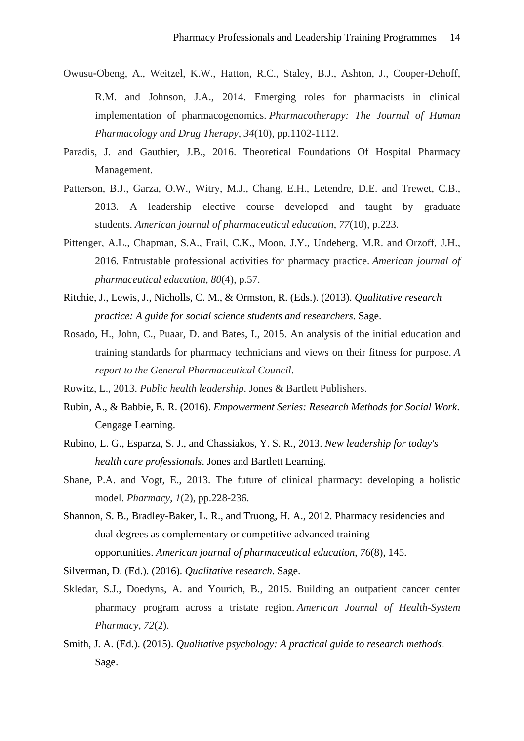- Owusu‐Obeng, A., Weitzel, K.W., Hatton, R.C., Staley, B.J., Ashton, J., Cooper‐Dehoff, R.M. and Johnson, J.A., 2014. Emerging roles for pharmacists in clinical implementation of pharmacogenomics. *Pharmacotherapy: The Journal of Human Pharmacology and Drug Therapy*, *34*(10), pp.1102-1112.
- Paradis, J. and Gauthier, J.B., 2016. Theoretical Foundations Of Hospital Pharmacy Management.
- Patterson, B.J., Garza, O.W., Witry, M.J., Chang, E.H., Letendre, D.E. and Trewet, C.B., 2013. A leadership elective course developed and taught by graduate students. *American journal of pharmaceutical education*, *77*(10), p.223.
- Pittenger, A.L., Chapman, S.A., Frail, C.K., Moon, J.Y., Undeberg, M.R. and Orzoff, J.H., 2016. Entrustable professional activities for pharmacy practice. *American journal of pharmaceutical education*, *80*(4), p.57.
- Ritchie, J., Lewis, J., Nicholls, C. M., & Ormston, R. (Eds.). (2013). *Qualitative research practice: A guide for social science students and researchers*. Sage.
- Rosado, H., John, C., Puaar, D. and Bates, I., 2015. An analysis of the initial education and training standards for pharmacy technicians and views on their fitness for purpose. *A report to the General Pharmaceutical Council*.
- Rowitz, L., 2013. *Public health leadership*. Jones & Bartlett Publishers.
- Rubin, A., & Babbie, E. R. (2016). *Empowerment Series: Research Methods for Social Work*. Cengage Learning.
- Rubino, L. G., Esparza, S. J., and Chassiakos, Y. S. R., 2013. *New leadership for today's health care professionals*. Jones and Bartlett Learning.
- Shane, P.A. and Vogt, E., 2013. The future of clinical pharmacy: developing a holistic model. *Pharmacy*, *1*(2), pp.228-236.
- Shannon, S. B., Bradley-Baker, L. R., and Truong, H. A., 2012. Pharmacy residencies and dual degrees as complementary or competitive advanced training opportunities. *American journal of pharmaceutical education*, *76*(8), 145.
- Silverman, D. (Ed.). (2016). *Qualitative research*. Sage.
- Skledar, S.J., Doedyns, A. and Yourich, B., 2015. Building an outpatient cancer center pharmacy program across a tristate region. *American Journal of Health-System Pharmacy*, *72*(2).
- Smith, J. A. (Ed.). (2015). *Qualitative psychology: A practical guide to research methods*. Sage.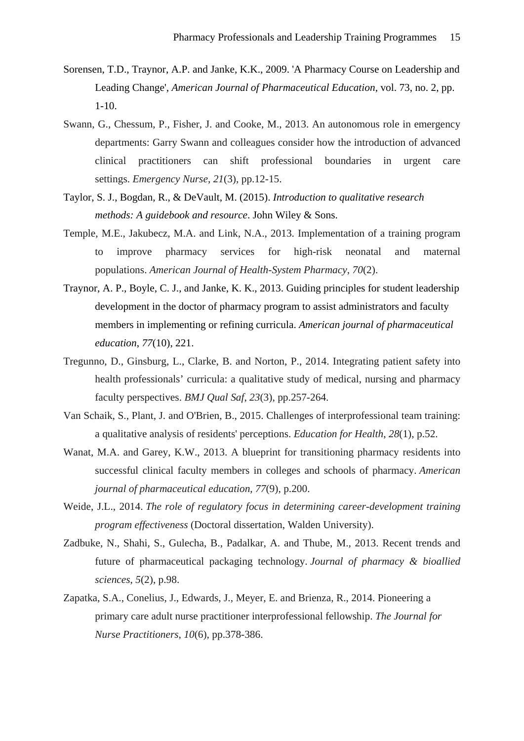- Sorensen, T.D., Traynor, A.P. and Janke, K.K., 2009. 'A Pharmacy Course on Leadership and Leading Change', *American Journal of Pharmaceutical Education*, vol. 73, no. 2, pp. 1-10.
- Swann, G., Chessum, P., Fisher, J. and Cooke, M., 2013. An autonomous role in emergency departments: Garry Swann and colleagues consider how the introduction of advanced clinical practitioners can shift professional boundaries in urgent care settings. *Emergency Nurse*, *21*(3), pp.12-15.
- Taylor, S. J., Bogdan, R., & DeVault, M. (2015). *Introduction to qualitative research methods: A guidebook and resource*. John Wiley & Sons.
- Temple, M.E., Jakubecz, M.A. and Link, N.A., 2013. Implementation of a training program to improve pharmacy services for high-risk neonatal and maternal populations. *American Journal of Health-System Pharmacy*, *70*(2).
- Traynor, A. P., Boyle, C. J., and Janke, K. K., 2013. Guiding principles for student leadership development in the doctor of pharmacy program to assist administrators and faculty members in implementing or refining curricula. *American journal of pharmaceutical education*, *77*(10), 221.
- Tregunno, D., Ginsburg, L., Clarke, B. and Norton, P., 2014. Integrating patient safety into health professionals' curricula: a qualitative study of medical, nursing and pharmacy faculty perspectives. *BMJ Qual Saf*, *23*(3), pp.257-264.
- Van Schaik, S., Plant, J. and O'Brien, B., 2015. Challenges of interprofessional team training: a qualitative analysis of residents' perceptions. *Education for Health*, *28*(1), p.52.
- Wanat, M.A. and Garey, K.W., 2013. A blueprint for transitioning pharmacy residents into successful clinical faculty members in colleges and schools of pharmacy. *American journal of pharmaceutical education*, *77*(9), p.200.
- Weide, J.L., 2014. *The role of regulatory focus in determining career-development training program effectiveness* (Doctoral dissertation, Walden University).
- Zadbuke, N., Shahi, S., Gulecha, B., Padalkar, A. and Thube, M., 2013. Recent trends and future of pharmaceutical packaging technology. *Journal of pharmacy & bioallied sciences*, *5*(2), p.98.
- Zapatka, S.A., Conelius, J., Edwards, J., Meyer, E. and Brienza, R., 2014. Pioneering a primary care adult nurse practitioner interprofessional fellowship. *The Journal for Nurse Practitioners*, *10*(6), pp.378-386.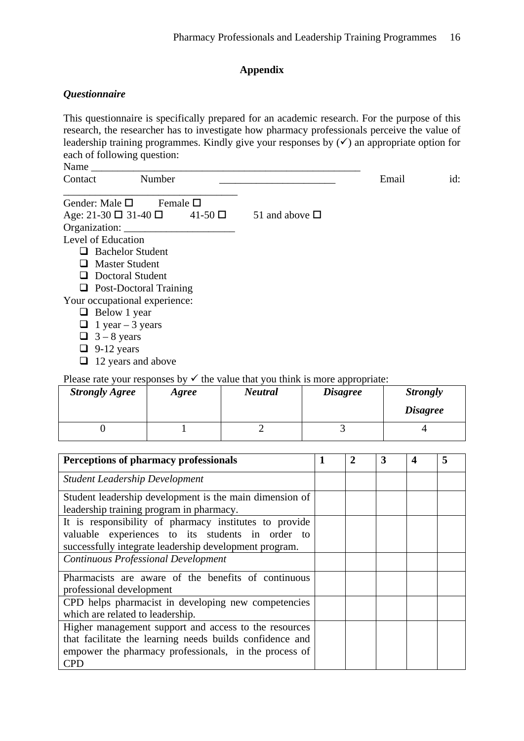# **Appendix**

# <span id="page-15-1"></span><span id="page-15-0"></span>*Questionnaire*

This questionnaire is specifically prepared for an academic research. For the purpose of this research, the researcher has to investigate how pharmacy professionals perceive the value of leadership training programmes. Kindly give your responses by  $(\checkmark)$  an appropriate option for each of following question:

| $\sim$ $\sim$ |   |   |     |
|---------------|---|---|-----|
| $\sim$        | ∼ | . | 1u. |

| Gender: Male $\square$ Female $\square$          |                     |
|--------------------------------------------------|---------------------|
| Age: $21-30 \square 31-40 \square 41-50 \square$ | 51 and above $\Box$ |
| Organization: __                                 |                     |
| Level of Education                               |                     |
| $\Box$ Bachelor Student                          |                     |
| $\Box$ Master Student                            |                     |
| $\Box$ Doctoral Student                          |                     |
| $\Box$ Post-Doctoral Training                    |                     |
| Your occupational experience:                    |                     |
| $\Box$ Below 1 year                              |                     |
| $\Box$ 1 year – 3 years                          |                     |
| $\Box$ 3 – 8 vears                               |                     |

- $\Box$  3 8 years
- $\Box$  9-12 years
- $\Box$  12 years and above

Please rate your responses by  $\checkmark$  the value that you think is more appropriate:

| <b>Strongly Agree</b> | Agree | Neutral | <i>Disagree</i> | <b>Strongly</b><br><i><b>Disagree</b></i> |
|-----------------------|-------|---------|-----------------|-------------------------------------------|
|                       |       |         |                 |                                           |

| <b>Perceptions of pharmacy professionals</b>                                                                                                                                             | 1 | $\mathbf{2}$ | 3 | 4 |  |
|------------------------------------------------------------------------------------------------------------------------------------------------------------------------------------------|---|--------------|---|---|--|
| <b>Student Leadership Development</b>                                                                                                                                                    |   |              |   |   |  |
| Student leadership development is the main dimension of<br>leadership training program in pharmacy.                                                                                      |   |              |   |   |  |
| It is responsibility of pharmacy institutes to provide<br>valuable experiences to its students in order to<br>successfully integrate leadership development program.                     |   |              |   |   |  |
| <b>Continuous Professional Development</b>                                                                                                                                               |   |              |   |   |  |
| Pharmacists are aware of the benefits of continuous<br>professional development                                                                                                          |   |              |   |   |  |
| CPD helps pharmacist in developing new competencies<br>which are related to leadership.                                                                                                  |   |              |   |   |  |
| Higher management support and access to the resources<br>that facilitate the learning needs builds confidence and<br>empower the pharmacy professionals, in the process of<br><b>CPD</b> |   |              |   |   |  |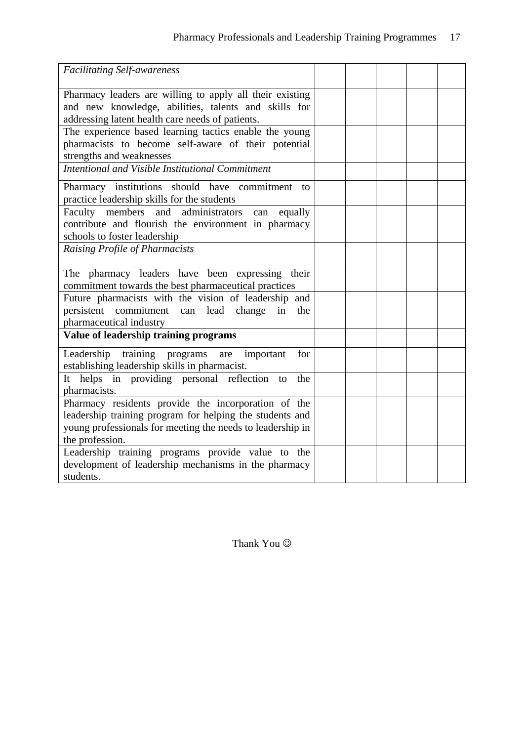<span id="page-16-1"></span><span id="page-16-0"></span>

| <b>Facilitating Self-awareness</b>                                                                                                                                                               |  |  |  |
|--------------------------------------------------------------------------------------------------------------------------------------------------------------------------------------------------|--|--|--|
| Pharmacy leaders are willing to apply all their existing<br>and new knowledge, abilities, talents and skills for<br>addressing latent health care needs of patients.                             |  |  |  |
| The experience based learning tactics enable the young<br>pharmacists to become self-aware of their potential<br>strengths and weaknesses                                                        |  |  |  |
| Intentional and Visible Institutional Commitment                                                                                                                                                 |  |  |  |
| Pharmacy institutions should have commitment<br>to<br>practice leadership skills for the students                                                                                                |  |  |  |
| Faculty members and<br>administrators<br>equally<br>can<br>contribute and flourish the environment in pharmacy<br>schools to foster leadership                                                   |  |  |  |
| Raising Profile of Pharmacists                                                                                                                                                                   |  |  |  |
| The pharmacy leaders have been expressing their<br>commitment towards the best pharmaceutical practices                                                                                          |  |  |  |
| Future pharmacists with the vision of leadership and<br>persistent commitment can lead change<br>in<br>the<br>pharmaceutical industry                                                            |  |  |  |
| Value of leadership training programs                                                                                                                                                            |  |  |  |
| Leadership training programs<br>important<br>for<br>are<br>establishing leadership skills in pharmacist.                                                                                         |  |  |  |
| It helps in providing personal reflection to<br>the<br>pharmacists.                                                                                                                              |  |  |  |
| Pharmacy residents provide the incorporation of the<br>leadership training program for helping the students and<br>young professionals for meeting the needs to leadership in<br>the profession. |  |  |  |
| Leadership training programs provide value to the<br>development of leadership mechanisms in the pharmacy<br>students.                                                                           |  |  |  |

Thank You  $\odot$